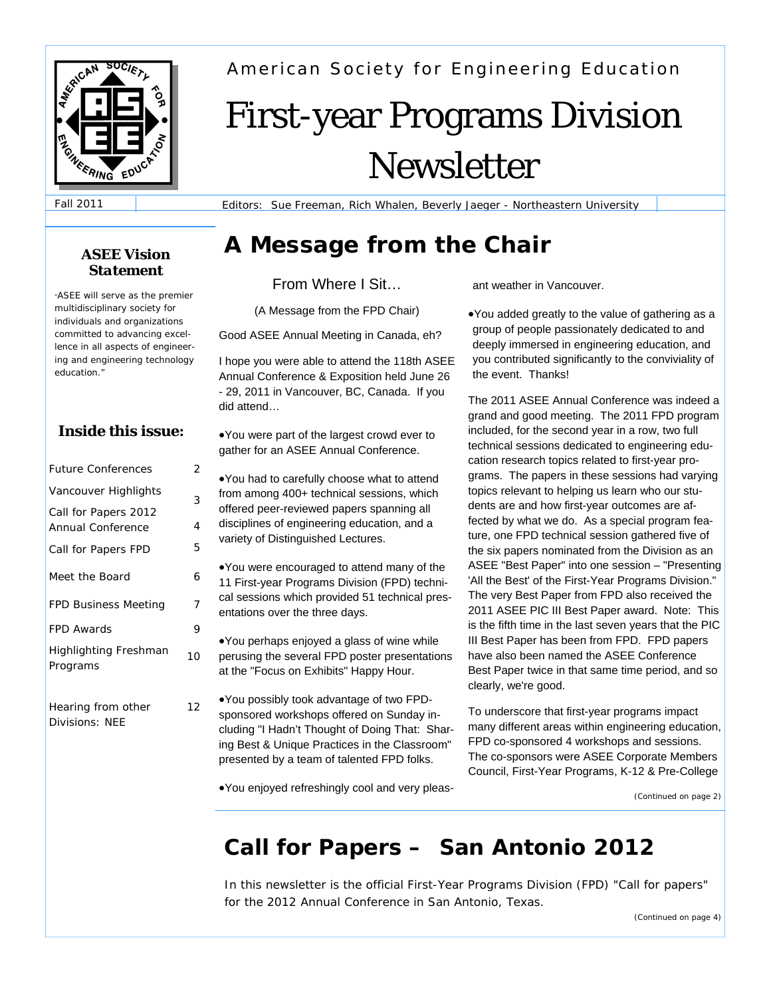

American Society for Engineering Education

# First-year Programs Division Newsletter

Fall 2011

Editors: Sue Freeman, Rich Whalen, Beverly Jaeger - Northeastern University

# **A Message from the Chair** *ASEE Vision*

From Where I Sit…

(A Message from the FPD Chair)

Good ASEE Annual Meeting in Canada, eh?

I hope you were able to attend the 118th ASEE Annual Conference & Exposition held June 26 - 29, 2011 in Vancouver, BC, Canada. If you did attend…

•You were part of the largest crowd ever to gather for an ASEE Annual Conference.

•You had to carefully choose what to attend from among 400+ technical sessions, which offered peer-reviewed papers spanning all disciplines of engineering education, and a variety of Distinguished Lectures.

•You were encouraged to attend many of the 11 First-year Programs Division (FPD) technical sessions which provided 51 technical presentations over the three days.

•You perhaps enjoyed a glass of wine while perusing the several FPD poster presentations at the "Focus on Exhibits" Happy Hour.

•You possibly took advantage of two FPDsponsored workshops offered on Sunday including "I Hadn't Thought of Doing That: Sharing Best & Unique Practices in the Classroom" presented by a team of talented FPD folks.

•You enjoyed refreshingly cool and very pleas-

ant weather in Vancouver.

•You added greatly to the value of gathering as a group of people passionately dedicated to and deeply immersed in engineering education, and you contributed significantly to the conviviality of the event. Thanks!

The 2011 ASEE Annual Conference was indeed a grand and good meeting. The 2011 FPD program included, for the second year in a row, two full technical sessions dedicated to engineering education research topics related to first-year programs. The papers in these sessions had varying topics relevant to helping us learn who our students are and how first-year outcomes are affected by what we do. As a special program feature, one FPD technical session gathered five of the six papers nominated from the Division as an ASEE "Best Paper" into one session – "Presenting 'All the Best' of the First-Year Programs Division." The very Best Paper from FPD also received the 2011 ASEE PIC III Best Paper award. Note: This is the fifth time in the last seven years that the PIC III Best Paper has been from FPD. FPD papers have also been named the ASEE Conference Best Paper twice in that same time period, and so clearly, we're good.

To underscore that first-year programs impact many different areas within engineering education, FPD co-sponsored 4 workshops and sessions. The co-sponsors were ASEE Corporate Members Council, First-Year Programs, K-12 & Pre-College

*(Continued on page 2)* 

# **Call for Papers – San Antonio 2012**

In this newsletter is the official First-Year Programs Division (FPD) "Call for papers" for the 2012 Annual Conference in San Antonio, Texas.

# *Statement*

*"ASEE will serve as the premier multidisciplinary society for individuals and organizations committed to advancing excellence in all aspects of engineering and engineering technology education."*

## **Inside this issue:**

*2* 

| <b>Future Conferences</b>                 | 2  |
|-------------------------------------------|----|
| Vancouver Highlights                      | 3  |
| Call for Papers 2012<br>Annual Conference | 4  |
| Call for Papers FPD                       | 5  |
| Meet the Board                            | 6  |
| <b>FPD Business Meeting</b>               | 7  |
| <b>FPD Awards</b>                         | 9  |
| <b>Highlighting Freshman</b><br>Programs  | 10 |
| Hearing from other                        | 12 |

*Hearing from other Divisions: NEE* 

*(Continued on page 4)*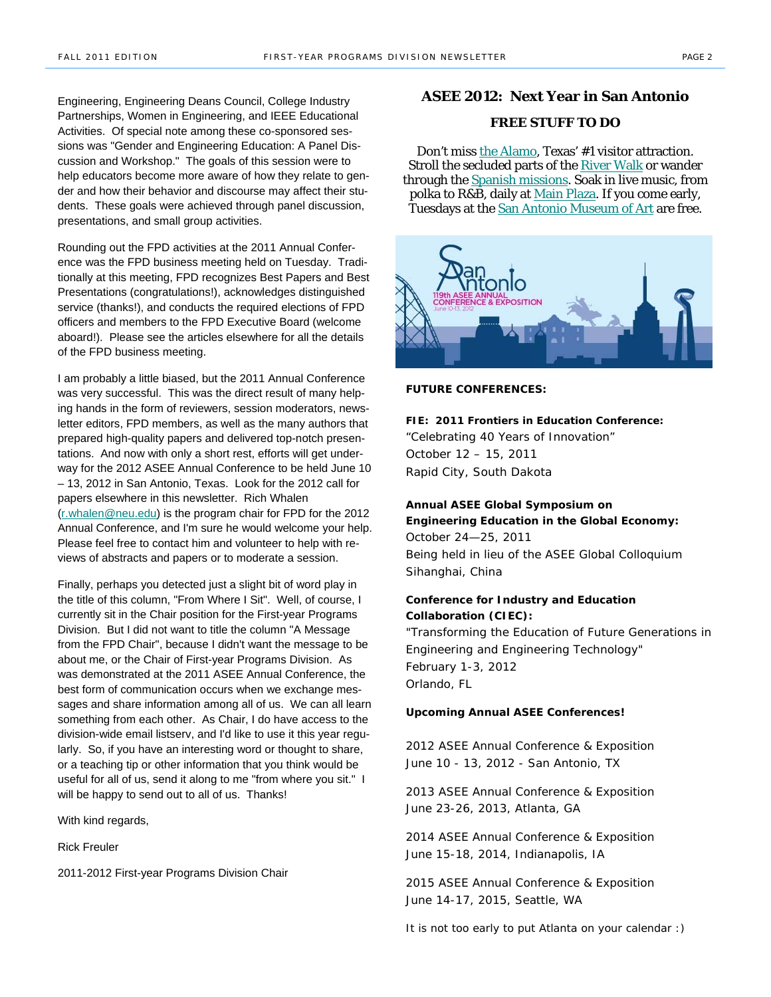Engineering, Engineering Deans Council, College Industry Partnerships, Women in Engineering, and IEEE Educational Activities. Of special note among these co-sponsored sessions was "Gender and Engineering Education: A Panel Discussion and Workshop." The goals of this session were to help educators become more aware of how they relate to gender and how their behavior and discourse may affect their students. These goals were achieved through panel discussion, presentations, and small group activities.

Rounding out the FPD activities at the 2011 Annual Conference was the FPD business meeting held on Tuesday. Traditionally at this meeting, FPD recognizes Best Papers and Best Presentations (congratulations!), acknowledges distinguished service (thanks!), and conducts the required elections of FPD officers and members to the FPD Executive Board (welcome aboard!). Please see the articles elsewhere for all the details of the FPD business meeting.

I am probably a little biased, but the 2011 Annual Conference was very successful. This was the direct result of many helping hands in the form of reviewers, session moderators, newsletter editors, FPD members, as well as the many authors that prepared high-quality papers and delivered top-notch presentations. And now with only a short rest, efforts will get underway for the 2012 ASEE Annual Conference to be held June 10 – 13, 2012 in San Antonio, Texas. Look for the 2012 call for papers elsewhere in this newsletter. Rich Whalen (r.whalen@neu.edu) is the program chair for FPD for the 2012 Annual Conference, and I'm sure he would welcome your help. Please feel free to contact him and volunteer to help with reviews of abstracts and papers or to moderate a session.

Finally, perhaps you detected just a slight bit of word play in the title of this column, "From Where I Sit". Well, of course, I currently sit in the Chair position for the First-year Programs Division. But I did not want to title the column "A Message from the FPD Chair", because I didn't want the message to be about me, or the Chair of First-year Programs Division. As was demonstrated at the 2011 ASEE Annual Conference, the best form of communication occurs when we exchange messages and share information among all of us. We can all learn something from each other. As Chair, I do have access to the division-wide email listserv, and I'd like to use it this year regularly. So, if you have an interesting word or thought to share, or a teaching tip or other information that you think would be useful for all of us, send it along to me "from where you sit." I will be happy to send out to all of us. Thanks!

With kind regards,

Rick Freuler

2011-2012 First-year Programs Division Chair

#### **ASEE 2012: Next Year in San Antonio**

#### **FREE STUFF TO DO**

Don't miss the Alamo, Texas' #1 visitor attraction. Stroll the secluded parts of the River Walk or wander through the **Spanish missions**. Soak in live music, from polka to R&B, daily at Main Plaza. If you come early, Tuesdays at the San Antonio Museum of Art are free.



**FUTURE CONFERENCES:** 

**FIE: 2011 Frontiers in Education Conference:** *"Celebrating 40 Years of Innovation"* October 12 – 15, 2011 Rapid City, South Dakota

**Annual ASEE Global Symposium on Engineering Education in the Global Economy:**  October 24—25, 2011 Being held in lieu of the ASEE Global Colloquium Sihanghai, China

#### **Conference for Industry and Education Collaboration (CIEC):**

*"Transforming the Education of Future Generations in Engineering and Engineering Technology"* February 1-3, 2012 Orlando, FL

#### **Upcoming Annual ASEE Conferences!**

2012 ASEE Annual Conference & Exposition June 10 - 13, 2012 - San Antonio, TX

2013 ASEE Annual Conference & Exposition June 23-26, 2013, Atlanta, GA

2014 ASEE Annual Conference & Exposition June 15-18, 2014, Indianapolis, IA

2015 ASEE Annual Conference & Exposition June 14-17, 2015, Seattle, WA

*It is not too early to put Atlanta on your calendar :)*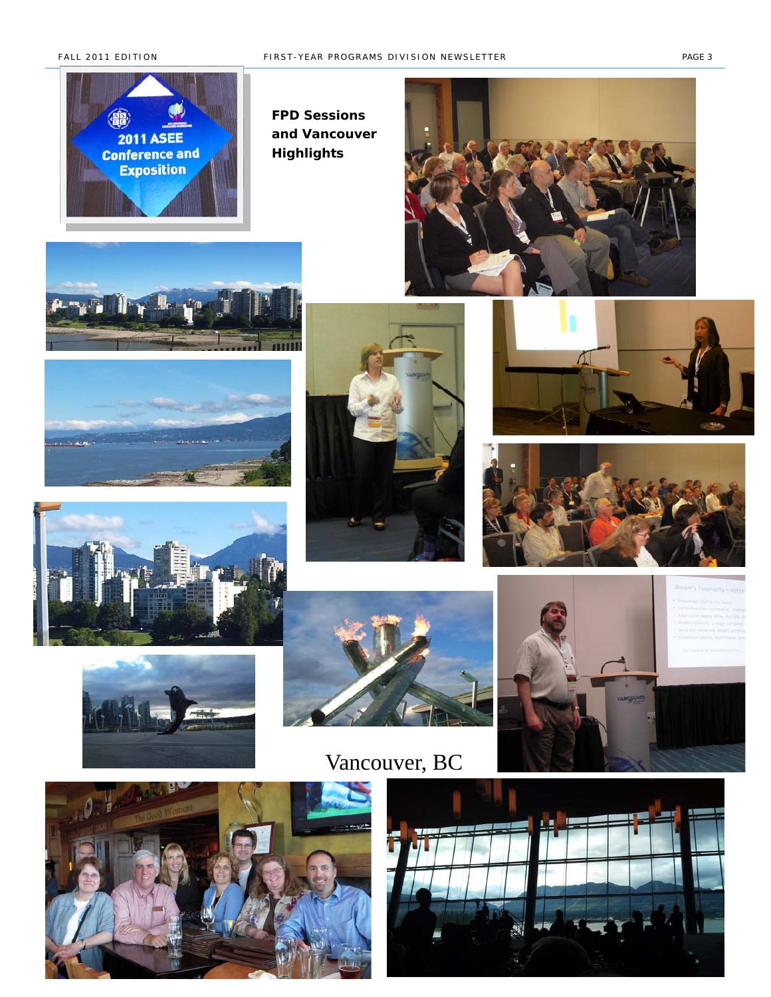

*FPD Sessions and Vancouver Highlights* 



















Vancouver, BC





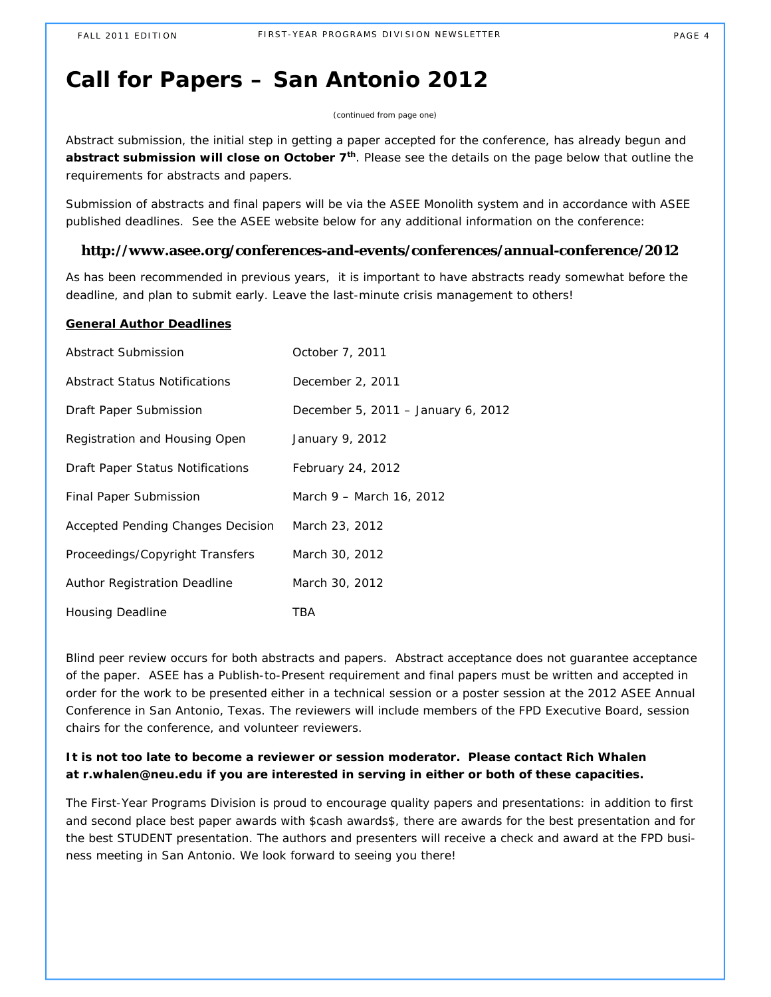# **Call for Papers – San Antonio 2012**

*(continued from page one)*

Abstract submission, the initial step in getting a paper accepted for the conference, has already begun and abstract submission will close on October 7<sup>th</sup>. Please see the details on the page below that outline the requirements for abstracts and papers.

Submission of abstracts and final papers will be via the ASEE Monolith system and in accordance with ASEE published deadlines. See the ASEE website below for any additional information on the conference:

#### **http://www.asee.org/conferences-and-events/conferences/annual-conference/2012**

As has been recommended in previous years, it is important to have abstracts ready somewhat before the deadline, and plan to submit early. Leave the last-minute crisis management to others!

#### **General Author Deadlines**

| Abstract Submission               | October 7, 2011                    |
|-----------------------------------|------------------------------------|
| Abstract Status Notifications     | December 2, 2011                   |
| Draft Paper Submission            | December 5, 2011 – January 6, 2012 |
| Registration and Housing Open     | January 9, 2012                    |
| Draft Paper Status Notifications  | February 24, 2012                  |
| Final Paper Submission            | March 9 - March 16, 2012           |
| Accepted Pending Changes Decision | March 23, 2012                     |
| Proceedings/Copyright Transfers   | March 30, 2012                     |
| Author Registration Deadline      | March 30, 2012                     |
| Housing Deadline                  | TBA                                |

Blind peer review occurs for both abstracts and papers. Abstract acceptance does not guarantee acceptance of the paper. ASEE has a Publish-to-Present requirement and final papers must be written and accepted in order for the work to be presented either in a technical session or a poster session at the 2012 ASEE Annual Conference in San Antonio, Texas. The reviewers will include members of the FPD Executive Board, session chairs for the conference, and volunteer reviewers.

### **It is not too late to become a reviewer or session moderator. Please contact Rich Whalen at r.whalen@neu.edu if you are interested in serving in either or both of these capacities.**

The First-Year Programs Division is proud to encourage quality papers and presentations: in addition to first and second place best paper awards *with \$cash awards\$*, there are awards for the best presentation and for the best STUDENT presentation. The authors and presenters will receive a check and award at the FPD business meeting in San Antonio. We look forward to seeing you there!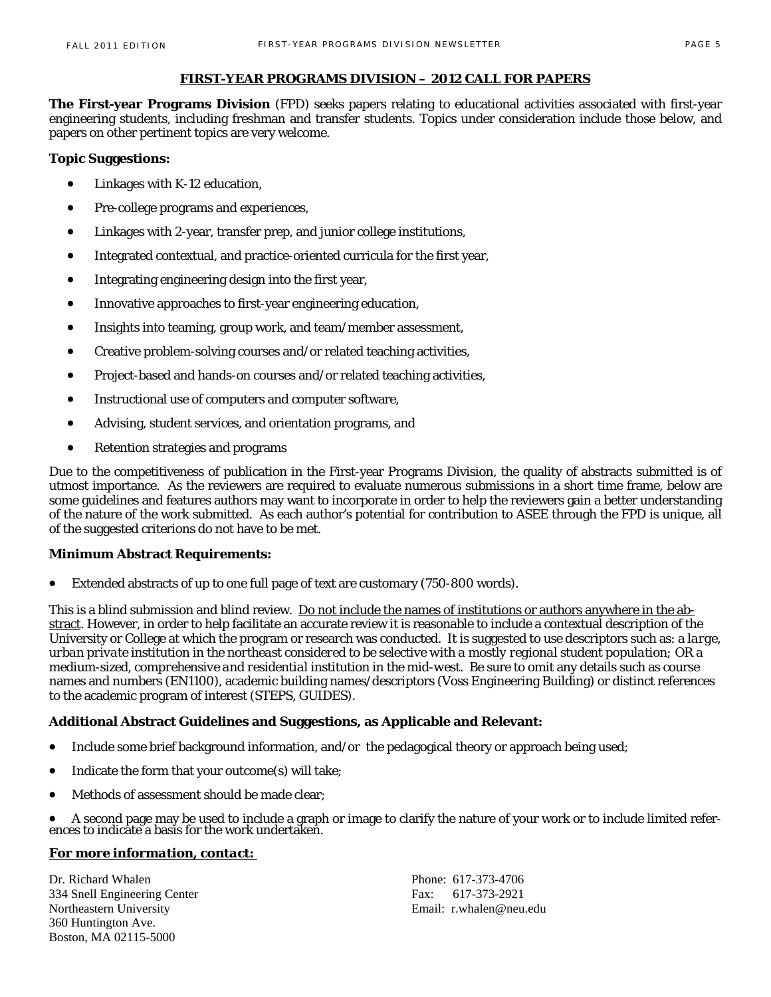#### **FIRST-YEAR PROGRAMS DIVISION – 2012 CALL FOR PAPERS**

**The First-year Programs Division** (FPD) seeks papers relating to educational activities associated with first-year engineering students, including freshman and transfer students. Topics under consideration include those below, and papers on other pertinent topics are very welcome.

#### **Topic Suggestions:**

- Linkages with K-12 education,
- Pre-college programs and experiences,
- Linkages with 2-year, transfer prep, and junior college institutions,
- Integrated contextual, and practice-oriented curricula for the first year,
- Integrating engineering design into the first year,
- Innovative approaches to first-year engineering education,
- Insights into teaming, group work, and team/member assessment,
- Creative problem-solving courses and/or related teaching activities,
- Project-based and hands-on courses and/or related teaching activities,
- Instructional use of computers and computer software,
- Advising, student services, and orientation programs, and
- Retention strategies and programs

Due to the competitiveness of publication in the First-year Programs Division, the quality of abstracts submitted is of utmost importance. As the reviewers are required to evaluate numerous submissions in a short time frame, below are some guidelines and features authors may want to incorporate in order to help the reviewers gain a better understanding of the nature of the work submitted. As each author's potential for contribution to ASEE through the FPD is unique, all of the suggested criterions do not have to be met.

#### **Minimum Abstract Requirements:**

Extended abstracts of up to one full page of text are customary (750-800 words).

This is a blind submission and blind review. Do not include the names of institutions or authors anywhere in the abstract. However, in order to help facilitate an accurate review it is reasonable to include a contextual description of the University or College at which the program or research was conducted. It is suggested to use descriptors such as: a *large, urban private institution in the northeast considered to be selective with a mostly regional student population; OR a medium-sized, comprehensive and residential institution in the mid-west*. Be sure to omit any details such as course names and numbers (EN1100), academic building names/descriptors (Voss Engineering Building) or distinct references to the academic program of interest (STEPS, GUIDES).

#### **Additional Abstract Guidelines and Suggestions, as Applicable and Relevant:**

- Include some brief background information, and/or the pedagogical theory or approach being used;
- Indicate the form that your outcome(s) will take;
- Methods of assessment should be made clear;

• A second page may be used to include a graph or image to clarify the nature of your work or to include limited references to indicate a basis for the work undertaken.

### *For more information, contact:*

Dr. Richard Whalen Phone: 617-373-4706 334 Snell Engineering Center Fax: 617-373-2921 Northeastern University Email: r.whalen@neu.edu 360 Huntington Ave. Boston, MA 02115-5000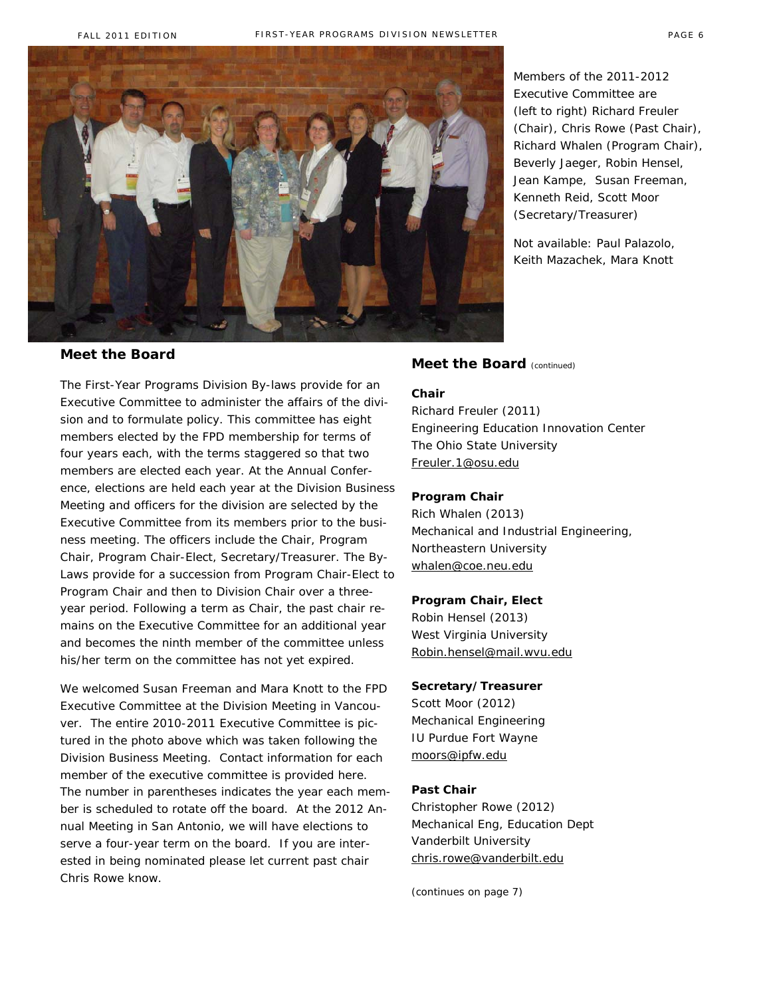

#### **Meet the Board**

The First-Year Programs Division By-laws provide for an Executive Committee to administer the affairs of the division and to formulate policy. This committee has eight members elected by the FPD membership for terms of four years each, with the terms staggered so that two members are elected each year. At the Annual Conference, elections are held each year at the Division Business Meeting and officers for the division are selected by the Executive Committee from its members prior to the business meeting. The officers include the Chair, Program Chair, Program Chair-Elect, Secretary/Treasurer. The By-Laws provide for a succession from Program Chair-Elect to Program Chair and then to Division Chair over a threeyear period. Following a term as Chair, the past chair remains on the Executive Committee for an additional year and becomes the ninth member of the committee unless his/her term on the committee has not yet expired.

We welcomed Susan Freeman and Mara Knott to the FPD Executive Committee at the Division Meeting in Vancouver. The entire 2010-2011 Executive Committee is pictured in the photo above which was taken following the Division Business Meeting. Contact information for each member of the executive committee is provided here. The number in parentheses indicates the year each member is scheduled to rotate off the board. At the 2012 Annual Meeting in San Antonio, we will have elections to serve a four-year term on the board. If you are interested in being nominated please let current past chair Chris Rowe know.

*Members of the 2011-2012 Executive Committee are (left to right) Richard Freuler (Chair), Chris Rowe (Past Chair), Richard Whalen (Program Chair), Beverly Jaeger, Robin Hensel, Jean Kampe, Susan Freeman, Kenneth Reid, Scott Moor (Secretary/Treasurer)* 

*Not available: Paul Palazolo, Keith Mazachek, Mara Knott*

#### **Meet the Board** (continued)

#### **Chair**

Richard Freuler (2011) Engineering Education Innovation Center The Ohio State University Freuler.1@osu.edu

#### **Program Chair**

Rich Whalen (2013) Mechanical and Industrial Engineering, Northeastern University whalen@coe.neu.edu

#### **Program Chair, Elect**

Robin Hensel (2013) West Virginia University Robin.hensel@mail.wvu.edu

#### **Secretary/Treasurer**

Scott Moor (2012) Mechanical Engineering IU Purdue Fort Wayne moors@ipfw.edu

#### **Past Chair**

Christopher Rowe (2012) Mechanical Eng, Education Dept Vanderbilt University chris.rowe@vanderbilt.edu

(continues on page 7)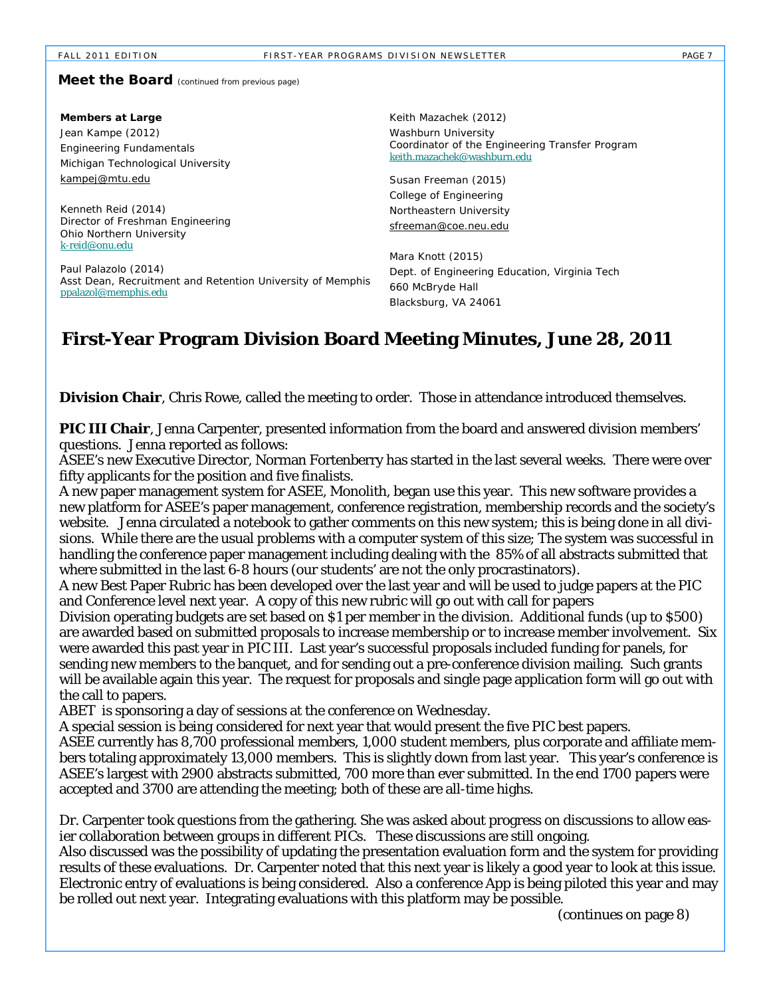#### FIRST-YEAR PROGRAMS DIVISION NEWSLETTER FIRST-YEAR PAGE 7

#### **Meet the Board** (continued from previous page)

| Members at Large<br>Jean Kampe (2012)<br><b>Engineering Fundamentals</b><br>Michigan Technological University | Keith Mazachek (2012)<br>Washburn University<br>Coordinator of the Engineering Transfer Program<br>keith.mazachek@washburn.edu |
|---------------------------------------------------------------------------------------------------------------|--------------------------------------------------------------------------------------------------------------------------------|
| kampej@mtu.edu                                                                                                | Susan Freeman (2015)                                                                                                           |
|                                                                                                               | College of Engineering                                                                                                         |
| Kenneth Reid (2014)                                                                                           | Northeastern University                                                                                                        |
| Director of Freshman Engineering<br>Ohio Northern University<br>k-reid@onu.edu                                | sfreeman@coe.neu.edu                                                                                                           |
| Paul Palazolo (2014)<br>Asst Dean, Recruitment and Retention University of Memphis<br>ppalazol@memphis.edu    | Mara Knott (2015)                                                                                                              |
|                                                                                                               | Dept. of Engineering Education, Virginia Tech                                                                                  |
|                                                                                                               | 660 McBryde Hall                                                                                                               |
|                                                                                                               | Blacksburg, VA 24061                                                                                                           |

# **First-Year Program Division Board Meeting Minutes, June 28, 2011**

**Division Chair**, Chris Rowe, called the meeting to order. Those in attendance introduced themselves.

**PIC III Chair**, Jenna Carpenter, presented information from the board and answered division members' questions. Jenna reported as follows:

ASEE's new Executive Director, Norman Fortenberry has started in the last several weeks. There were over fifty applicants for the position and five finalists.

A new paper management system for ASEE, Monolith, began use this year. This new software provides a new platform for ASEE's paper management, conference registration, membership records and the society's website. Jenna circulated a notebook to gather comments on this new system; this is being done in all divisions. While there are the usual problems with a computer system of this size; The system was successful in handling the conference paper management including dealing with the 85% of all abstracts submitted that where submitted in the last 6-8 hours (our students' are not the only procrastinators).

A new Best Paper Rubric has been developed over the last year and will be used to judge papers at the PIC and Conference level next year. A copy of this new rubric will go out with call for papers

Division operating budgets are set based on \$1 per member in the division. Additional funds (up to \$500) are awarded based on submitted proposals to increase membership or to increase member involvement. Six were awarded this past year in PIC III. Last year's successful proposals included funding for panels, for sending new members to the banquet, and for sending out a pre-conference division mailing. Such grants will be available again this year. The request for proposals and single page application form will go out with the call to papers.

ABET is sponsoring a day of sessions at the conference on Wednesday.

*A special session is being co*nsidered for next year that would present the five PIC best papers. ASEE currently has 8,700 professional members, 1,000 student members, plus corporate and affiliate members totaling approximately 13,000 members. This is slightly down from last year. This year's conference is ASEE's largest with 2900 abstracts submitted, 700 more than ever submitted. In the end 1700 papers were accepted and 3700 are attending the meeting; both of these are all-time highs.

Dr. Carpenter took questions from the gathering. She was asked about progress on discussions to allow easier collaboration between groups in different PICs. These discussions are still ongoing.

Also discussed was the possibility of updating the presentation evaluation form and the system for providing results of these evaluations. Dr. Carpenter noted that this next year is likely a good year to look at this issue. Electronic entry of evaluations is being considered. Also a conference App is being piloted this year and may be rolled out next year. Integrating evaluations with this platform may be possible.

(continues on page 8)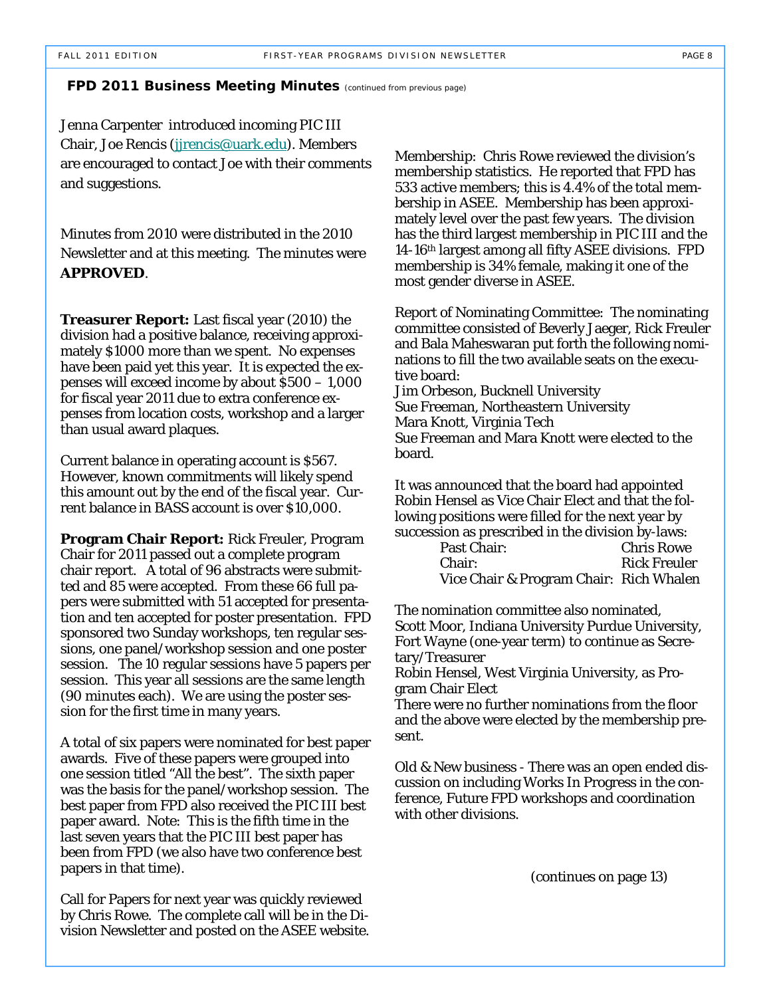#### **FPD 2011 Business Meeting Minutes** *(continued from previous page)*

Jenna Carpenter introduced incoming PIC III Chair, Joe Rencis (jjrencis@uark.edu). Members are encouraged to contact Joe with their comments and suggestions.

Minutes from 2010 were distributed in the 2010 Newsletter and at this meeting. The minutes were **APPROVED**.

**Treasurer Report:** Last fiscal year (2010) the division had a positive balance, receiving approximately \$1000 more than we spent. No expenses have been paid yet this year. It is expected the expenses will exceed income by about \$500 – 1,000 for fiscal year 2011 due to extra conference expenses from location costs, workshop and a larger than usual award plaques.

Current balance in operating account is \$567. However, known commitments will likely spend this amount out by the end of the fiscal year. Current balance in BASS account is over \$10,000.

**Program Chair Report:** Rick Freuler, Program Chair for 2011 passed out a complete program chair report. A total of 96 abstracts were submitted and 85 were accepted. From these 66 full papers were submitted with 51 accepted for presentation and ten accepted for poster presentation. FPD sponsored two Sunday workshops, ten regular sessions, one panel/workshop session and one poster session. The 10 regular sessions have 5 papers per session. This year all sessions are the same length (90 minutes each). We are using the poster session for the first time in many years.

A total of six papers were nominated for best paper awards. Five of these papers were grouped into one session titled "All the best". The sixth paper was the basis for the panel/workshop session. The best paper from FPD also received the PIC III best paper award. Note: This is the fifth time in the last seven years that the PIC III best paper has been from FPD (we also have two conference best papers in that time).

Call for Papers for next year was quickly reviewed by Chris Rowe. The complete call will be in the Division Newsletter and posted on the ASEE website. Membership: Chris Rowe reviewed the division's membership statistics. He reported that FPD has 533 active members; this is 4.4% of the total membership in ASEE. Membership has been approximately level over the past few years. The division has the third largest membership in PIC III and the 14-16th largest among all fifty ASEE divisions. FPD membership is 34% female, making it one of the most gender diverse in ASEE.

Report of Nominating Committee: The nominating committee consisted of Beverly Jaeger, Rick Freuler and Bala Maheswaran put forth the following nominations to fill the two available seats on the executive board:

Jim Orbeson, Bucknell University Sue Freeman, Northeastern University Mara Knott, Virginia Tech Sue Freeman and Mara Knott were elected to the board.

It was announced that the board had appointed Robin Hensel as Vice Chair Elect and that the following positions were filled for the next year by succession as prescribed in the division by-laws:

| Past Chair:                             | <b>Chris Rowe</b>   |
|-----------------------------------------|---------------------|
| Chair:                                  | <b>Rick Freuler</b> |
| Vice Chair & Program Chair: Rich Whalen |                     |

The nomination committee also nominated, Scott Moor, Indiana University Purdue University, Fort Wayne (one-year term) to continue as Secretary/Treasurer

Robin Hensel, West Virginia University, as Program Chair Elect

There were no further nominations from the floor and the above were elected by the membership present.

Old & New business - There was an open ended discussion on including Works In Progress in the conference, Future FPD workshops and coordination with other divisions.

(continues on page 13)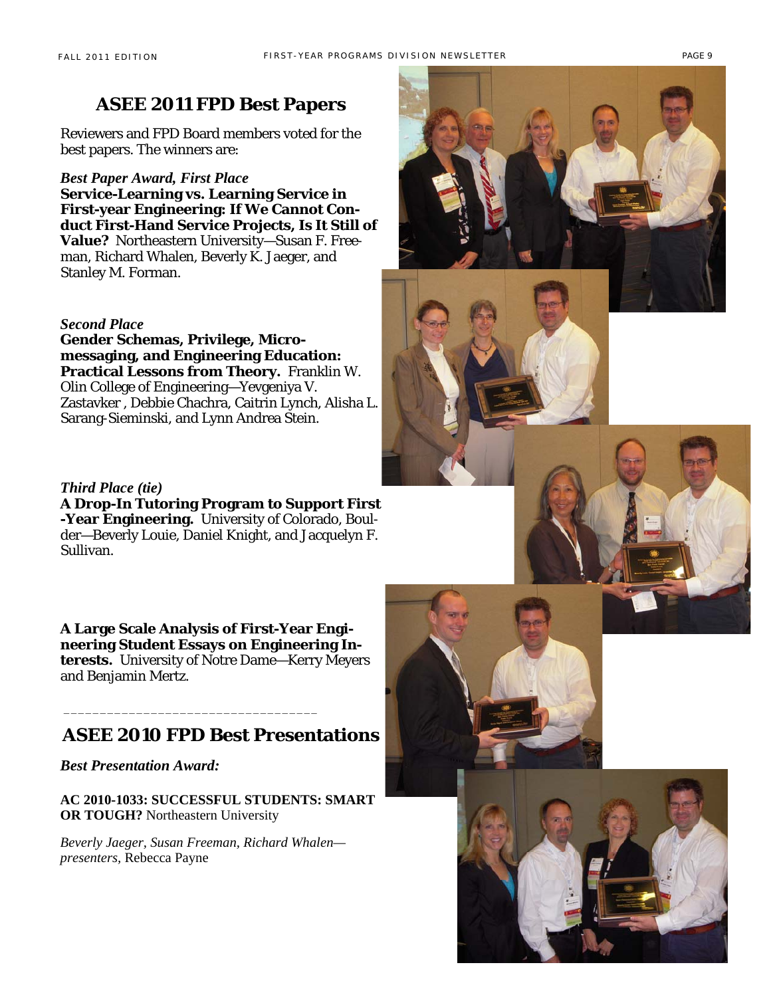Reviewers and FPD Board members voted for the best papers. The winners are:

#### *Best Paper Award, First Place*

**Service-Learning vs. Learning Service in First-year Engineering: If We Cannot Conduct First-Hand Service Projects, Is It Still of Value?** Northeastern University—Susan F. Freeman, Richard Whalen, Beverly K. Jaeger, and Stanley M. Forman.

#### *Second Place*

**Gender Schemas, Privilege, Micromessaging, and Engineering Education: Practical Lessons from Theory.** Franklin W. Olin College of Engineering—Yevgeniya V. Zastavker , Debbie Chachra, Caitrin Lynch, Alisha L. Sarang-Sieminski, and Lynn Andrea Stein.

*Third Place (tie)*  **A Drop-In Tutoring Program to Support First -Year Engineering.** University of Colorado, Boulder—Beverly Louie, Daniel Knight, and Jacquelyn F. Sullivan.

**A Large Scale Analysis of First-Year Engineering Student Essays on Engineering Interests.** University of Notre Dame—Kerry Meyers and Benjamin Mertz.

## **ASEE 2010 FPD Best Presentations**

\_\_\_\_\_\_\_\_\_\_\_\_\_\_\_\_\_\_\_\_\_\_\_\_\_\_\_\_\_\_\_\_\_\_\_

*Best Presentation Award:*

**AC 2010-1033: SUCCESSFUL STUDENTS: SMART OR TOUGH?** Northeastern University

*Beverly Jaeger, Susan Freeman, Richard Whalen presenters,* Rebecca Payne





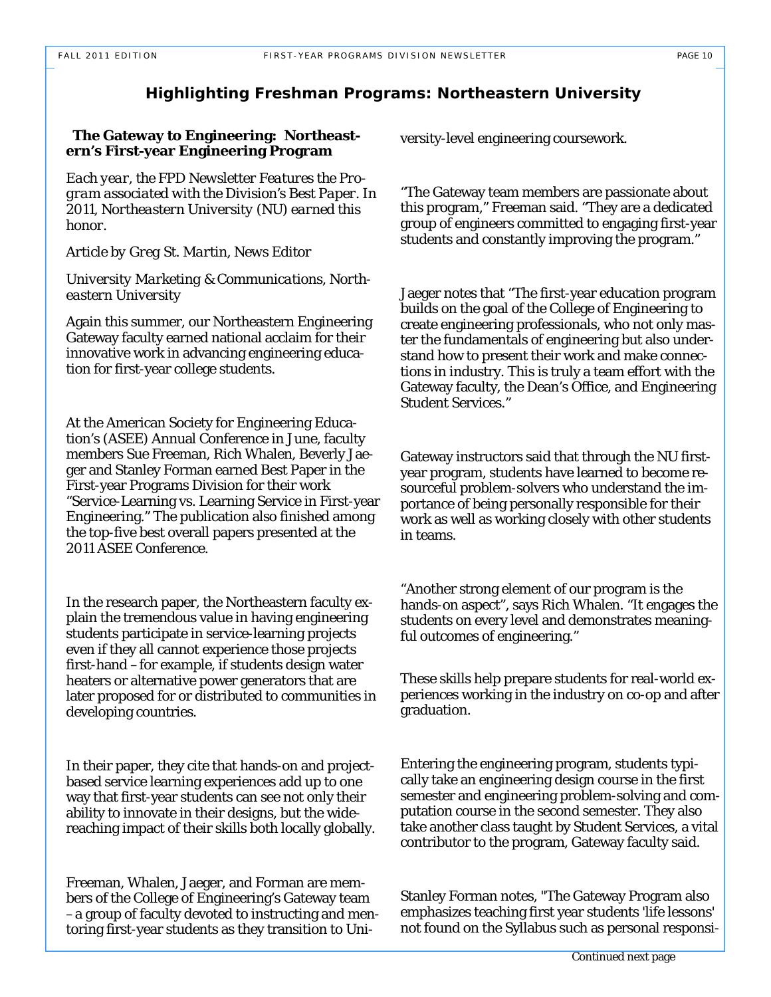### **Highlighting Freshman Programs: Northeastern University**

#### **The Gateway to Engineering: Northeastern's First-year Engineering Program**

*Each year, the FPD Newsletter Features the Program associated with the Division's Best Paper. In 2011, Northeastern University (NU) earned this honor.* 

*Article by Greg St. Martin, News Editor* 

*University Marketing & Communications, Northeastern University* 

Again this summer, our Northeastern Engineering Gateway faculty earned national acclaim for their innovative work in advancing engineering education for first-year college students.

At the American Society for Engineering Education's (ASEE) Annual Conference in June, faculty members Sue Freeman, Rich Whalen, Beverly Jaeger and Stanley Forman earned Best Paper in the First-year Programs Division for their work "Service-Learning vs. Learning Service in First-year Engineering." The publication also finished among the top-five best overall papers presented at the 2011 ASEE Conference.

In the research paper, the Northeastern faculty explain the tremendous value in having engineering students participate in service-learning projects even if they all cannot experience those projects first-hand –for example, if students design water heaters or alternative power generators that are later proposed for or distributed to communities in developing countries.

In their paper, they cite that hands-on and projectbased service learning experiences add up to one way that first-year students can see not only their ability to innovate in their designs, but the widereaching impact of their skills both locally globally.

Freeman, Whalen, Jaeger, and Forman are members of the College of Engineering's Gateway team –a group of faculty devoted to instructing and mentoring first-year students as they transition to University-level engineering coursework.

"The Gateway team members are passionate about this program," Freeman said. "They are a dedicated group of engineers committed to engaging first-year students and constantly improving the program."

Jaeger notes that "The first-year education program builds on the goal of the College of Engineering to create engineering professionals, who not only master the fundamentals of engineering but also understand how to present their work and make connections in industry. This is truly a team effort with the Gateway faculty, the Dean's Office, and Engineering Student Services."

Gateway instructors said that through the NU firstyear program, students have learned to become resourceful problem-solvers who understand the importance of being personally responsible for their work as well as working closely with other students in teams.

"Another strong element of our program is the hands-on aspect", says Rich Whalen. "It engages the students on every level and demonstrates meaningful outcomes of engineering."

These skills help prepare students for real-world experiences working in the industry on co-op and after graduation.

Entering the engineering program, students typically take an engineering design course in the first semester and engineering problem-solving and computation course in the second semester. They also take another class taught by Student Services, a vital contributor to the program, Gateway faculty said.

Stanley Forman notes, "The Gateway Program also emphasizes teaching first year students 'life lessons' not found on the Syllabus such as personal responsi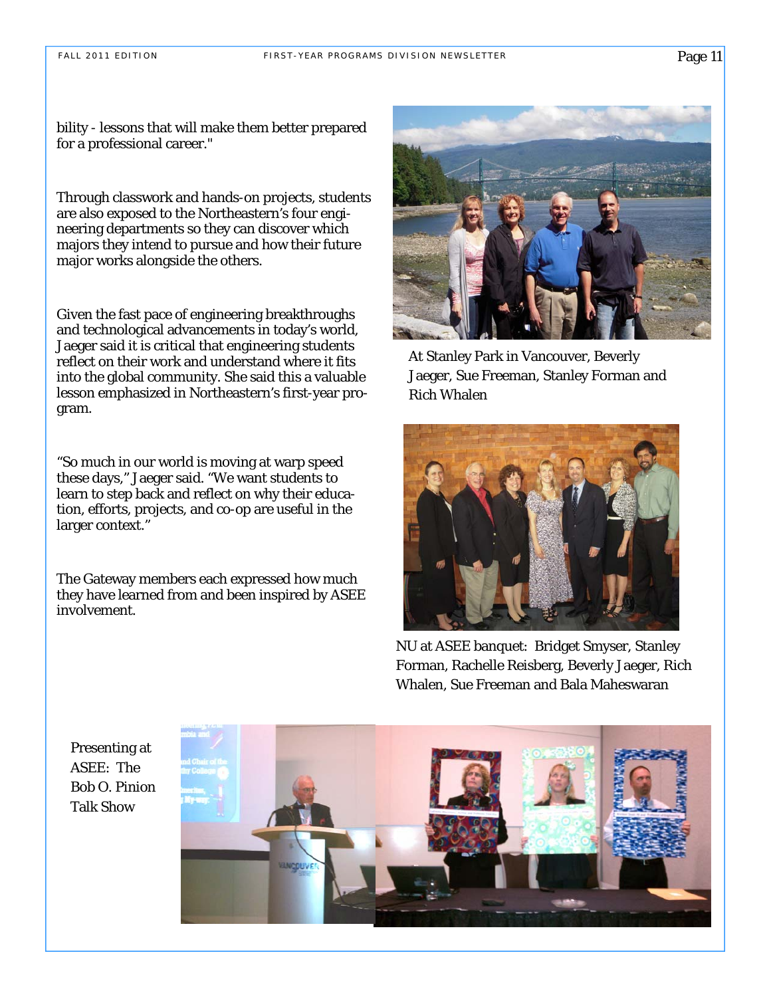bility - lessons that will make them better prepared for a professional career."

Through classwork and hands-on projects, students are also exposed to the Northeastern's four engineering departments so they can discover which majors they intend to pursue and how their future major works alongside the others.

Given the fast pace of engineering breakthroughs and technological advancements in today's world, Jaeger said it is critical that engineering students reflect on their work and understand where it fits into the global community. She said this a valuable lesson emphasized in Northeastern's first-year program.

"So much in our world is moving at warp speed these days," Jaeger said. "We want students to learn to step back and reflect on why their education, efforts, projects, and co-op are useful in the larger context."

The Gateway members each expressed how much they have learned from and been inspired by ASEE involvement.



At Stanley Park in Vancouver, Beverly Jaeger, Sue Freeman, Stanley Forman and Rich Whalen



NU at ASEE banquet: Bridget Smyser, Stanley Forman, Rachelle Reisberg, Beverly Jaeger, Rich Whalen, Sue Freeman and Bala Maheswaran

Presenting at ASEE: The Bob O. Pinion Talk Show

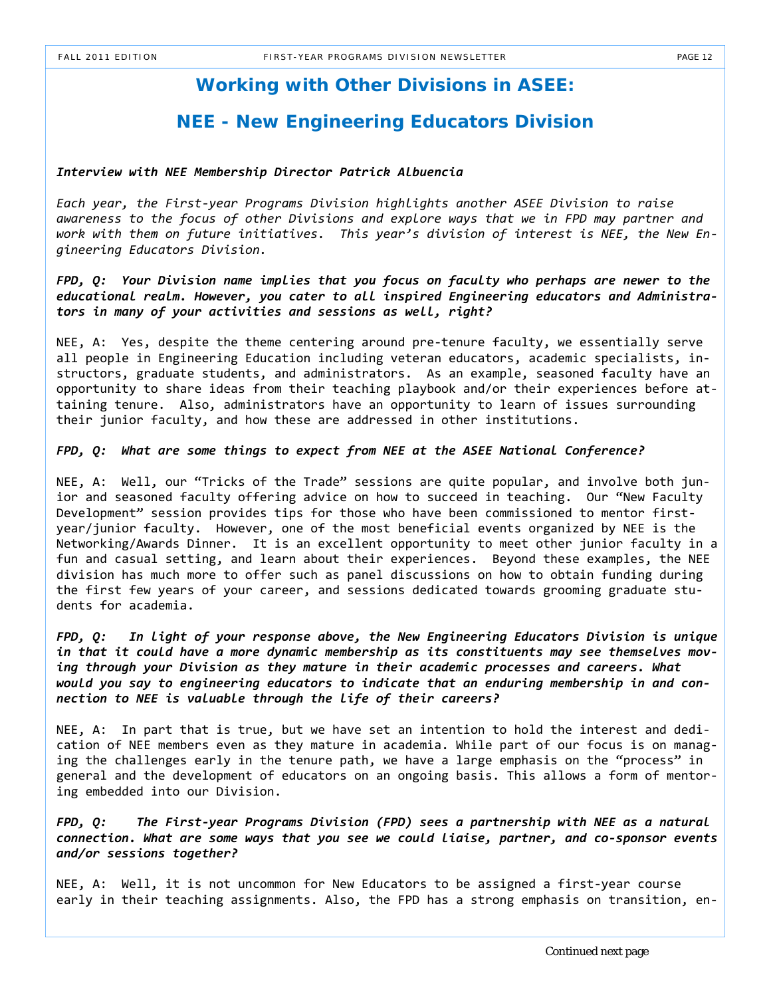# **Working with Other Divisions in ASEE:**

# **NEE - New Engineering Educators Division**

#### *Interview with NEE Membership Director Patrick Albuencia*

*Each year, the First‐year Programs Division highlights another ASEE Division to raise awareness to the focus of other Divisions and explore ways that we in FPD may partner and work with them on future initiatives. This year's division of interest is NEE, the New En‐ gineering Educators Division.*

*FPD, Q: Your Division name implies that you focus on faculty who perhaps are newer to the educational realm. However, you cater to all inspired Engineering educators and Administra‐ tors in many of your activities and sessions as well, right?*

NEE, A: Yes, despite the theme centering around pre-tenure faculty, we essentially serve all people in Engineering Education including veteran educators, academic specialists, in‐ structors, graduate students, and administrators. As an example, seasoned faculty have an opportunity to share ideas from their teaching playbook and/or their experiences before at‐ taining tenure. Also, administrators have an opportunity to learn of issues surrounding their junior faculty, and how these are addressed in other institutions.

*FPD, Q: What are some things to expect from NEE at the ASEE National Conference?*

NEE, A: Well, our "Tricks of the Trade" sessions are quite popular, and involve both junior and seasoned faculty offering advice on how to succeed in teaching. Our "New Faculty Development" session provides tips for those who have been commissioned to mentor firstyear/junior faculty. However, one of the most beneficial events organized by NEE is the Networking/Awards Dinner. It is an excellent opportunity to meet other junior faculty in a fun and casual setting, and learn about their experiences. Beyond these examples, the NEE division has much more to offer such as panel discussions on how to obtain funding during the first few years of your career, and sessions dedicated towards grooming graduate stu‐ dents for academia.

*FPD, Q: In light of your response above, the New Engineering Educators Division is unique in that it could have a more dynamic membership as its constituents may see themselves mov‐ ing through your Division as they mature in their academic processes and careers. What would you say to engineering educators to indicate that an enduring membership in and con‐ nection to NEE is valuable through the life of their careers?*

NEE, A: In part that is true, but we have set an intention to hold the interest and dedi‐ cation of NEE members even as they mature in academia. While part of our focus is on manag‐ ing the challenges early in the tenure path, we have a large emphasis on the "process" in general and the development of educators on an ongoing basis. This allows a form of mentor‐ ing embedded into our Division.

*FPD, Q: The First‐year Programs Division (FPD) sees a partnership with NEE as a natural connection. What are some ways that you see we could liaise, partner, and co‐sponsor events and/or sessions together?*

NEE, A: Well, it is not uncommon for New Educators to be assigned a first-year course early in their teaching assignments. Also, the FPD has a strong emphasis on transition, en‐